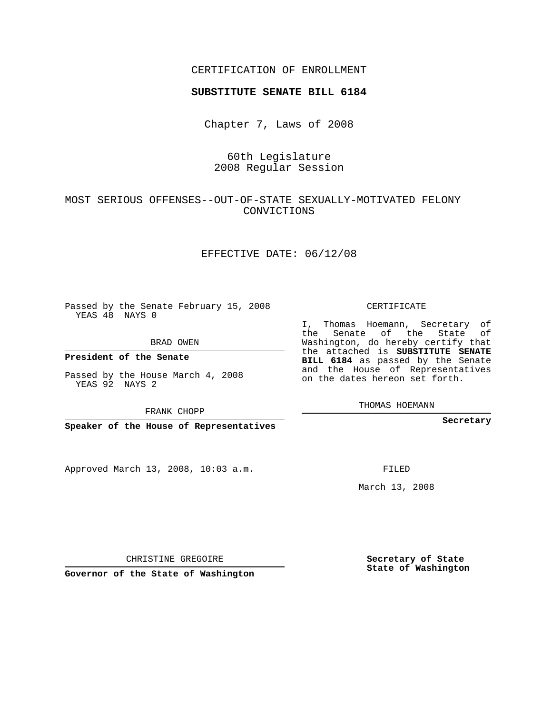## CERTIFICATION OF ENROLLMENT

#### **SUBSTITUTE SENATE BILL 6184**

Chapter 7, Laws of 2008

## 60th Legislature 2008 Regular Session

#### MOST SERIOUS OFFENSES--OUT-OF-STATE SEXUALLY-MOTIVATED FELONY CONVICTIONS

#### EFFECTIVE DATE: 06/12/08

Passed by the Senate February 15, 2008 YEAS 48 NAYS 0

BRAD OWEN

**President of the Senate**

Passed by the House March 4, 2008 YEAS 92 NAYS 2

FRANK CHOPP

**Speaker of the House of Representatives**

Approved March 13, 2008, 10:03 a.m.

CERTIFICATE

I, Thomas Hoemann, Secretary of the Senate of the State of Washington, do hereby certify that the attached is **SUBSTITUTE SENATE BILL 6184** as passed by the Senate and the House of Representatives on the dates hereon set forth.

THOMAS HOEMANN

**Secretary**

FILED

March 13, 2008

**Secretary of State State of Washington**

CHRISTINE GREGOIRE

**Governor of the State of Washington**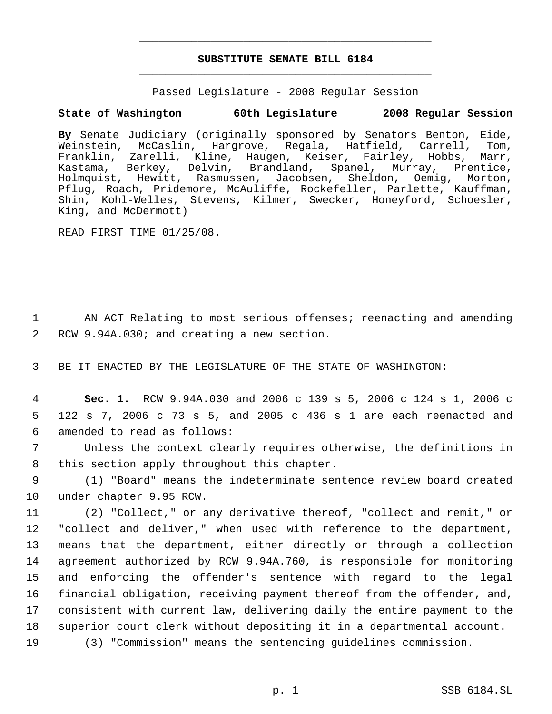# **SUBSTITUTE SENATE BILL 6184** \_\_\_\_\_\_\_\_\_\_\_\_\_\_\_\_\_\_\_\_\_\_\_\_\_\_\_\_\_\_\_\_\_\_\_\_\_\_\_\_\_\_\_\_\_

\_\_\_\_\_\_\_\_\_\_\_\_\_\_\_\_\_\_\_\_\_\_\_\_\_\_\_\_\_\_\_\_\_\_\_\_\_\_\_\_\_\_\_\_\_

Passed Legislature - 2008 Regular Session

## **State of Washington 60th Legislature 2008 Regular Session**

**By** Senate Judiciary (originally sponsored by Senators Benton, Eide, Weinstein, McCaslin, Hargrove, Regala, Hatfield, Carrell, Tom, Franklin, Zarelli, Kline, Haugen, Keiser, Fairley, Hobbs, Marr, Kastama, Berkey, Delvin, Brandland, Spanel, Murray, Prentice, Holmquist, Hewitt, Rasmussen, Jacobsen, Sheldon, Oemig, Morton, Pflug, Roach, Pridemore, McAuliffe, Rockefeller, Parlette, Kauffman, Shin, Kohl-Welles, Stevens, Kilmer, Swecker, Honeyford, Schoesler, King, and McDermott)

READ FIRST TIME 01/25/08.

 1 AN ACT Relating to most serious offenses; reenacting and amending 2 RCW 9.94A.030; and creating a new section.

3 BE IT ENACTED BY THE LEGISLATURE OF THE STATE OF WASHINGTON:

 4 **Sec. 1.** RCW 9.94A.030 and 2006 c 139 s 5, 2006 c 124 s 1, 2006 c 5 122 s 7, 2006 c 73 s 5, and 2005 c 436 s 1 are each reenacted and 6 amended to read as follows:

 7 Unless the context clearly requires otherwise, the definitions in 8 this section apply throughout this chapter.

 9 (1) "Board" means the indeterminate sentence review board created 10 under chapter 9.95 RCW.

 (2) "Collect," or any derivative thereof, "collect and remit," or "collect and deliver," when used with reference to the department, means that the department, either directly or through a collection agreement authorized by RCW 9.94A.760, is responsible for monitoring and enforcing the offender's sentence with regard to the legal financial obligation, receiving payment thereof from the offender, and, consistent with current law, delivering daily the entire payment to the superior court clerk without depositing it in a departmental account. (3) "Commission" means the sentencing guidelines commission.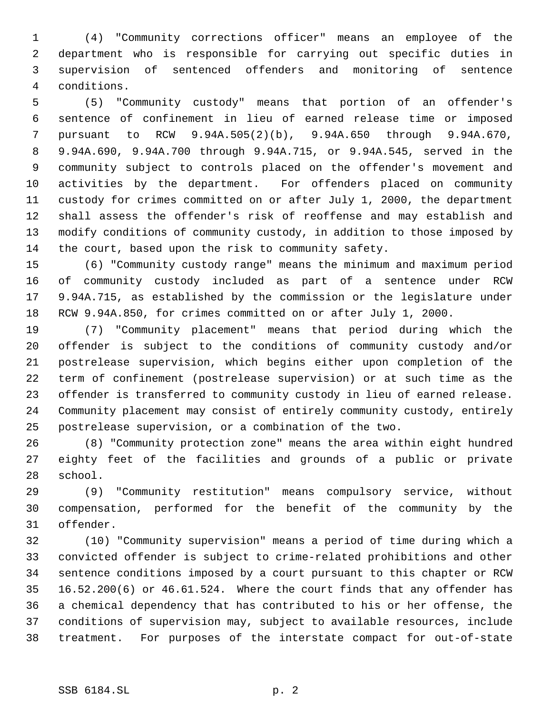(4) "Community corrections officer" means an employee of the department who is responsible for carrying out specific duties in supervision of sentenced offenders and monitoring of sentence conditions.

 (5) "Community custody" means that portion of an offender's sentence of confinement in lieu of earned release time or imposed pursuant to RCW 9.94A.505(2)(b), 9.94A.650 through 9.94A.670, 9.94A.690, 9.94A.700 through 9.94A.715, or 9.94A.545, served in the community subject to controls placed on the offender's movement and activities by the department. For offenders placed on community custody for crimes committed on or after July 1, 2000, the department shall assess the offender's risk of reoffense and may establish and modify conditions of community custody, in addition to those imposed by the court, based upon the risk to community safety.

 (6) "Community custody range" means the minimum and maximum period of community custody included as part of a sentence under RCW 9.94A.715, as established by the commission or the legislature under RCW 9.94A.850, for crimes committed on or after July 1, 2000.

 (7) "Community placement" means that period during which the offender is subject to the conditions of community custody and/or postrelease supervision, which begins either upon completion of the term of confinement (postrelease supervision) or at such time as the offender is transferred to community custody in lieu of earned release. Community placement may consist of entirely community custody, entirely postrelease supervision, or a combination of the two.

 (8) "Community protection zone" means the area within eight hundred eighty feet of the facilities and grounds of a public or private school.

 (9) "Community restitution" means compulsory service, without compensation, performed for the benefit of the community by the offender.

 (10) "Community supervision" means a period of time during which a convicted offender is subject to crime-related prohibitions and other sentence conditions imposed by a court pursuant to this chapter or RCW 16.52.200(6) or 46.61.524. Where the court finds that any offender has a chemical dependency that has contributed to his or her offense, the conditions of supervision may, subject to available resources, include treatment. For purposes of the interstate compact for out-of-state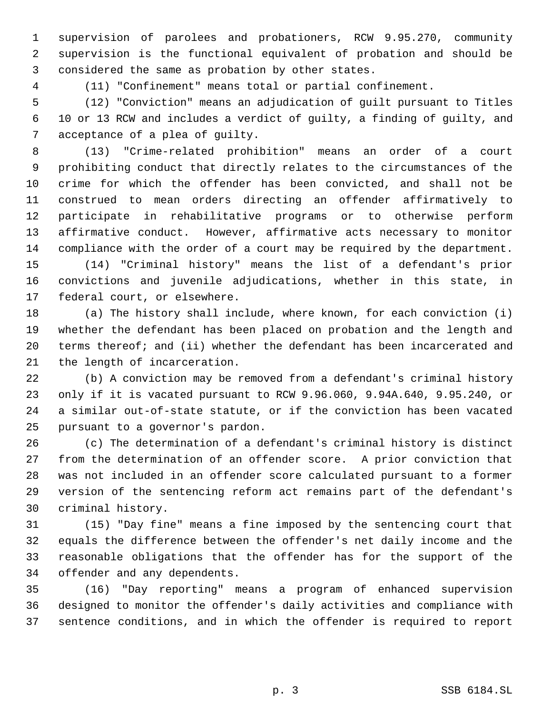supervision of parolees and probationers, RCW 9.95.270, community supervision is the functional equivalent of probation and should be considered the same as probation by other states.

(11) "Confinement" means total or partial confinement.

 (12) "Conviction" means an adjudication of guilt pursuant to Titles 10 or 13 RCW and includes a verdict of guilty, a finding of guilty, and acceptance of a plea of guilty.

 (13) "Crime-related prohibition" means an order of a court prohibiting conduct that directly relates to the circumstances of the crime for which the offender has been convicted, and shall not be construed to mean orders directing an offender affirmatively to participate in rehabilitative programs or to otherwise perform affirmative conduct. However, affirmative acts necessary to monitor compliance with the order of a court may be required by the department.

 (14) "Criminal history" means the list of a defendant's prior convictions and juvenile adjudications, whether in this state, in federal court, or elsewhere.

 (a) The history shall include, where known, for each conviction (i) whether the defendant has been placed on probation and the length and terms thereof; and (ii) whether the defendant has been incarcerated and the length of incarceration.

 (b) A conviction may be removed from a defendant's criminal history only if it is vacated pursuant to RCW 9.96.060, 9.94A.640, 9.95.240, or a similar out-of-state statute, or if the conviction has been vacated pursuant to a governor's pardon.

 (c) The determination of a defendant's criminal history is distinct from the determination of an offender score. A prior conviction that was not included in an offender score calculated pursuant to a former version of the sentencing reform act remains part of the defendant's criminal history.

 (15) "Day fine" means a fine imposed by the sentencing court that equals the difference between the offender's net daily income and the reasonable obligations that the offender has for the support of the offender and any dependents.

 (16) "Day reporting" means a program of enhanced supervision designed to monitor the offender's daily activities and compliance with sentence conditions, and in which the offender is required to report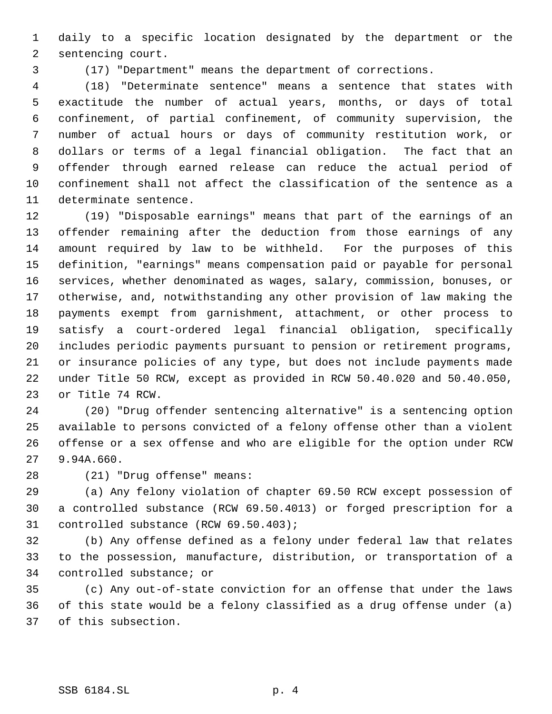daily to a specific location designated by the department or the sentencing court.

(17) "Department" means the department of corrections.

 (18) "Determinate sentence" means a sentence that states with exactitude the number of actual years, months, or days of total confinement, of partial confinement, of community supervision, the number of actual hours or days of community restitution work, or dollars or terms of a legal financial obligation. The fact that an offender through earned release can reduce the actual period of confinement shall not affect the classification of the sentence as a determinate sentence.

 (19) "Disposable earnings" means that part of the earnings of an offender remaining after the deduction from those earnings of any amount required by law to be withheld. For the purposes of this definition, "earnings" means compensation paid or payable for personal services, whether denominated as wages, salary, commission, bonuses, or otherwise, and, notwithstanding any other provision of law making the payments exempt from garnishment, attachment, or other process to satisfy a court-ordered legal financial obligation, specifically includes periodic payments pursuant to pension or retirement programs, or insurance policies of any type, but does not include payments made under Title 50 RCW, except as provided in RCW 50.40.020 and 50.40.050, or Title 74 RCW.

 (20) "Drug offender sentencing alternative" is a sentencing option available to persons convicted of a felony offense other than a violent offense or a sex offense and who are eligible for the option under RCW 9.94A.660.

(21) "Drug offense" means:

 (a) Any felony violation of chapter 69.50 RCW except possession of a controlled substance (RCW 69.50.4013) or forged prescription for a controlled substance (RCW 69.50.403);

 (b) Any offense defined as a felony under federal law that relates to the possession, manufacture, distribution, or transportation of a controlled substance; or

 (c) Any out-of-state conviction for an offense that under the laws of this state would be a felony classified as a drug offense under (a) of this subsection.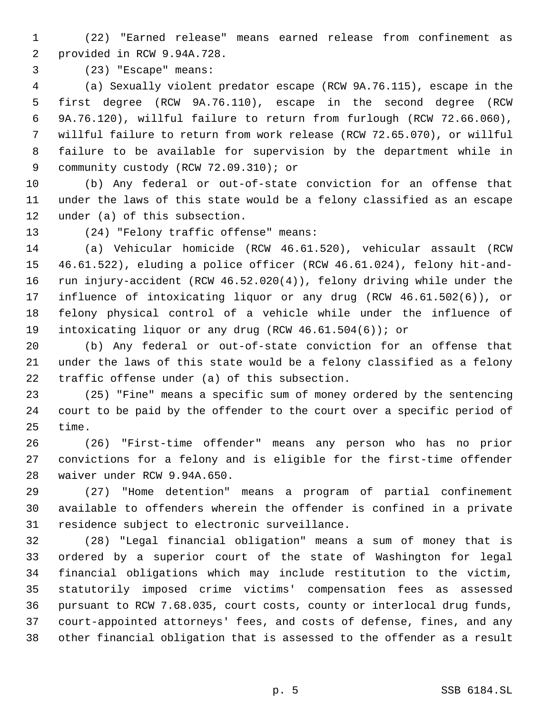- (22) "Earned release" means earned release from confinement as provided in RCW 9.94A.728.
- 

(23) "Escape" means:

 (a) Sexually violent predator escape (RCW 9A.76.115), escape in the first degree (RCW 9A.76.110), escape in the second degree (RCW 9A.76.120), willful failure to return from furlough (RCW 72.66.060), willful failure to return from work release (RCW 72.65.070), or willful failure to be available for supervision by the department while in 9 community custody (RCW 72.09.310); or

 (b) Any federal or out-of-state conviction for an offense that under the laws of this state would be a felony classified as an escape under (a) of this subsection.

(24) "Felony traffic offense" means:

 (a) Vehicular homicide (RCW 46.61.520), vehicular assault (RCW 46.61.522), eluding a police officer (RCW 46.61.024), felony hit-and- run injury-accident (RCW 46.52.020(4)), felony driving while under the influence of intoxicating liquor or any drug (RCW 46.61.502(6)), or felony physical control of a vehicle while under the influence of intoxicating liquor or any drug (RCW 46.61.504(6)); or

 (b) Any federal or out-of-state conviction for an offense that under the laws of this state would be a felony classified as a felony traffic offense under (a) of this subsection.

 (25) "Fine" means a specific sum of money ordered by the sentencing court to be paid by the offender to the court over a specific period of time.

 (26) "First-time offender" means any person who has no prior convictions for a felony and is eligible for the first-time offender waiver under RCW 9.94A.650.

 (27) "Home detention" means a program of partial confinement available to offenders wherein the offender is confined in a private residence subject to electronic surveillance.

 (28) "Legal financial obligation" means a sum of money that is ordered by a superior court of the state of Washington for legal financial obligations which may include restitution to the victim, statutorily imposed crime victims' compensation fees as assessed pursuant to RCW 7.68.035, court costs, county or interlocal drug funds, court-appointed attorneys' fees, and costs of defense, fines, and any other financial obligation that is assessed to the offender as a result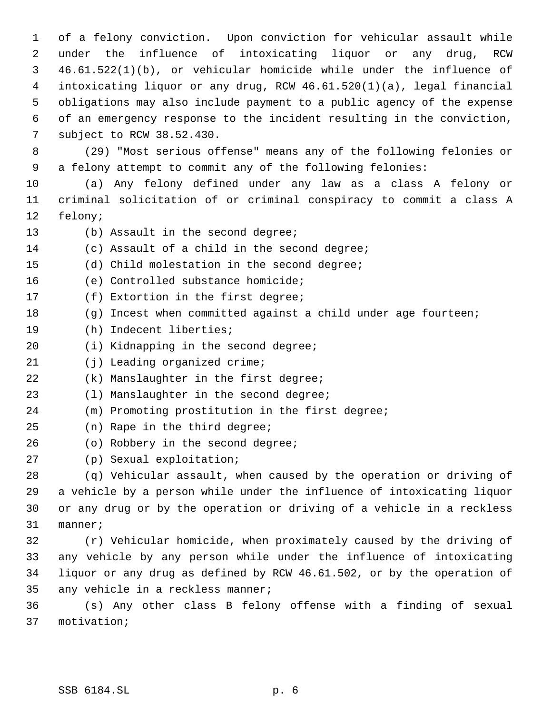of a felony conviction. Upon conviction for vehicular assault while under the influence of intoxicating liquor or any drug, RCW 46.61.522(1)(b), or vehicular homicide while under the influence of intoxicating liquor or any drug, RCW 46.61.520(1)(a), legal financial obligations may also include payment to a public agency of the expense of an emergency response to the incident resulting in the conviction, subject to RCW 38.52.430.

 (29) "Most serious offense" means any of the following felonies or a felony attempt to commit any of the following felonies:

 (a) Any felony defined under any law as a class A felony or criminal solicitation of or criminal conspiracy to commit a class A felony;

- 13 (b) Assault in the second degree;
- (c) Assault of a child in the second degree;
- (d) Child molestation in the second degree;
- (e) Controlled substance homicide;
- (f) Extortion in the first degree;
- (g) Incest when committed against a child under age fourteen;
- (h) Indecent liberties;
- (i) Kidnapping in the second degree;
- 21 (j) Leading organized crime;
- (k) Manslaughter in the first degree;
- (l) Manslaughter in the second degree;
- (m) Promoting prostitution in the first degree;
- (n) Rape in the third degree;
- 26 (o) Robbery in the second degree;
- (p) Sexual exploitation;

 (q) Vehicular assault, when caused by the operation or driving of a vehicle by a person while under the influence of intoxicating liquor or any drug or by the operation or driving of a vehicle in a reckless manner;

 (r) Vehicular homicide, when proximately caused by the driving of any vehicle by any person while under the influence of intoxicating liquor or any drug as defined by RCW 46.61.502, or by the operation of any vehicle in a reckless manner;

 (s) Any other class B felony offense with a finding of sexual motivation;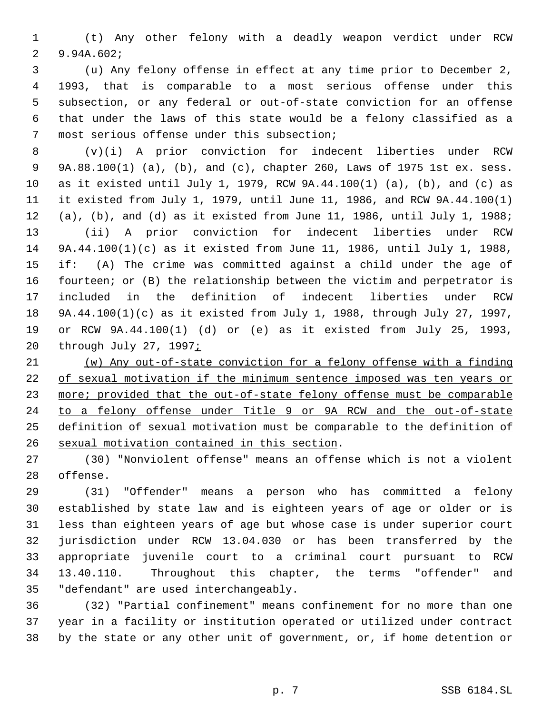(t) Any other felony with a deadly weapon verdict under RCW 9.94A.602;

 (u) Any felony offense in effect at any time prior to December 2, 1993, that is comparable to a most serious offense under this subsection, or any federal or out-of-state conviction for an offense that under the laws of this state would be a felony classified as a most serious offense under this subsection;

 (v)(i) A prior conviction for indecent liberties under RCW 9A.88.100(1) (a), (b), and (c), chapter 260, Laws of 1975 1st ex. sess. as it existed until July 1, 1979, RCW 9A.44.100(1) (a), (b), and (c) as it existed from July 1, 1979, until June 11, 1986, and RCW 9A.44.100(1) (a), (b), and (d) as it existed from June 11, 1986, until July 1, 1988; (ii) A prior conviction for indecent liberties under RCW 9A.44.100(1)(c) as it existed from June 11, 1986, until July 1, 1988, if: (A) The crime was committed against a child under the age of fourteen; or (B) the relationship between the victim and perpetrator is included in the definition of indecent liberties under RCW 9A.44.100(1)(c) as it existed from July 1, 1988, through July 27, 1997, or RCW 9A.44.100(1) (d) or (e) as it existed from July 25, 1993, 20 through July 27, 1997;

 (w) Any out-of-state conviction for a felony offense with a finding of sexual motivation if the minimum sentence imposed was ten years or 23 more; provided that the out-of-state felony offense must be comparable to a felony offense under Title 9 or 9A RCW and the out-of-state definition of sexual motivation must be comparable to the definition of sexual motivation contained in this section.

 (30) "Nonviolent offense" means an offense which is not a violent offense.

 (31) "Offender" means a person who has committed a felony established by state law and is eighteen years of age or older or is less than eighteen years of age but whose case is under superior court jurisdiction under RCW 13.04.030 or has been transferred by the appropriate juvenile court to a criminal court pursuant to RCW 13.40.110. Throughout this chapter, the terms "offender" and "defendant" are used interchangeably.

 (32) "Partial confinement" means confinement for no more than one year in a facility or institution operated or utilized under contract by the state or any other unit of government, or, if home detention or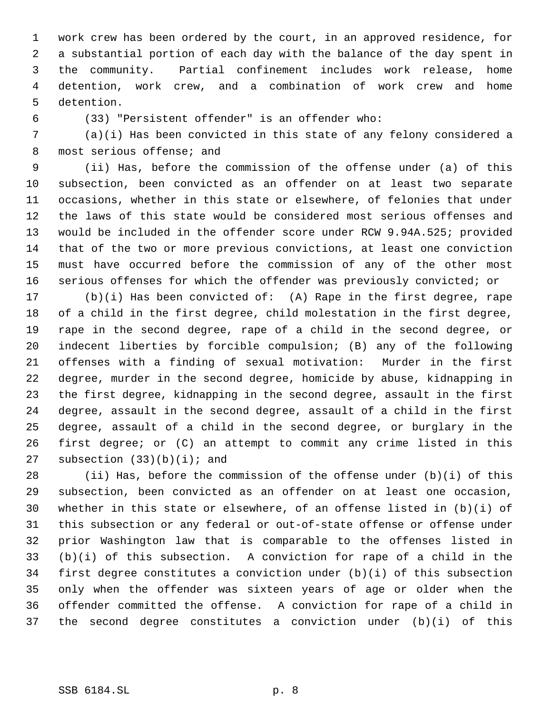work crew has been ordered by the court, in an approved residence, for a substantial portion of each day with the balance of the day spent in the community. Partial confinement includes work release, home detention, work crew, and a combination of work crew and home detention.

(33) "Persistent offender" is an offender who:

 (a)(i) Has been convicted in this state of any felony considered a 8 most serious offense; and

 (ii) Has, before the commission of the offense under (a) of this subsection, been convicted as an offender on at least two separate occasions, whether in this state or elsewhere, of felonies that under the laws of this state would be considered most serious offenses and would be included in the offender score under RCW 9.94A.525; provided that of the two or more previous convictions, at least one conviction must have occurred before the commission of any of the other most serious offenses for which the offender was previously convicted; or

 (b)(i) Has been convicted of: (A) Rape in the first degree, rape of a child in the first degree, child molestation in the first degree, rape in the second degree, rape of a child in the second degree, or indecent liberties by forcible compulsion; (B) any of the following offenses with a finding of sexual motivation: Murder in the first degree, murder in the second degree, homicide by abuse, kidnapping in the first degree, kidnapping in the second degree, assault in the first degree, assault in the second degree, assault of a child in the first degree, assault of a child in the second degree, or burglary in the first degree; or (C) an attempt to commit any crime listed in this 27 subsection  $(33)(b)(i)$ ; and

 (ii) Has, before the commission of the offense under (b)(i) of this subsection, been convicted as an offender on at least one occasion, whether in this state or elsewhere, of an offense listed in (b)(i) of this subsection or any federal or out-of-state offense or offense under prior Washington law that is comparable to the offenses listed in (b)(i) of this subsection. A conviction for rape of a child in the first degree constitutes a conviction under (b)(i) of this subsection only when the offender was sixteen years of age or older when the offender committed the offense. A conviction for rape of a child in the second degree constitutes a conviction under (b)(i) of this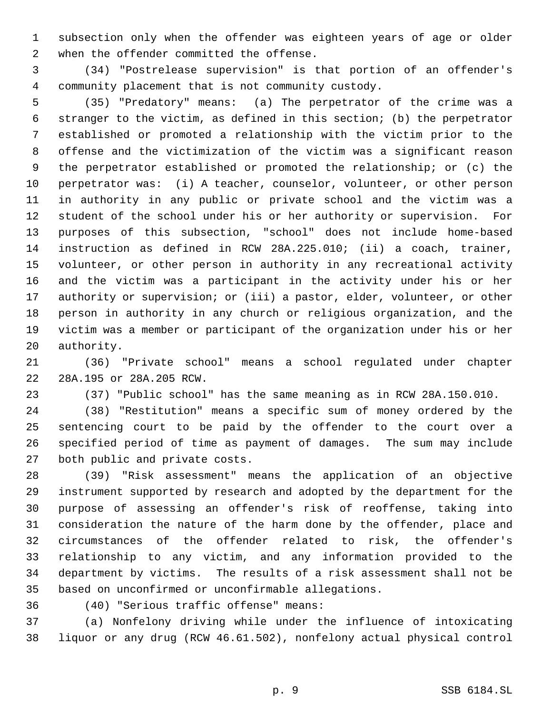subsection only when the offender was eighteen years of age or older when the offender committed the offense.

 (34) "Postrelease supervision" is that portion of an offender's community placement that is not community custody.

 (35) "Predatory" means: (a) The perpetrator of the crime was a stranger to the victim, as defined in this section; (b) the perpetrator established or promoted a relationship with the victim prior to the offense and the victimization of the victim was a significant reason the perpetrator established or promoted the relationship; or (c) the perpetrator was: (i) A teacher, counselor, volunteer, or other person in authority in any public or private school and the victim was a student of the school under his or her authority or supervision. For purposes of this subsection, "school" does not include home-based instruction as defined in RCW 28A.225.010; (ii) a coach, trainer, volunteer, or other person in authority in any recreational activity and the victim was a participant in the activity under his or her 17 authority or supervision; or (iii) a pastor, elder, volunteer, or other person in authority in any church or religious organization, and the victim was a member or participant of the organization under his or her authority.

 (36) "Private school" means a school regulated under chapter 28A.195 or 28A.205 RCW.

(37) "Public school" has the same meaning as in RCW 28A.150.010.

 (38) "Restitution" means a specific sum of money ordered by the sentencing court to be paid by the offender to the court over a specified period of time as payment of damages. The sum may include both public and private costs.

 (39) "Risk assessment" means the application of an objective instrument supported by research and adopted by the department for the purpose of assessing an offender's risk of reoffense, taking into consideration the nature of the harm done by the offender, place and circumstances of the offender related to risk, the offender's relationship to any victim, and any information provided to the department by victims. The results of a risk assessment shall not be based on unconfirmed or unconfirmable allegations.

(40) "Serious traffic offense" means:

 (a) Nonfelony driving while under the influence of intoxicating liquor or any drug (RCW 46.61.502), nonfelony actual physical control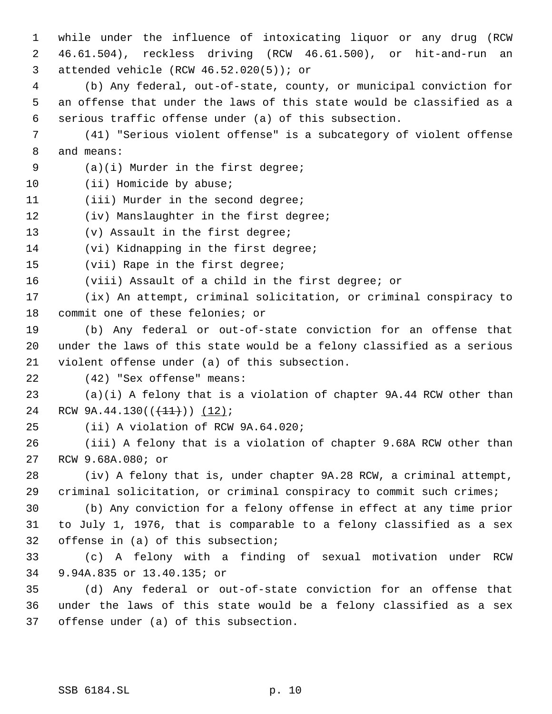while under the influence of intoxicating liquor or any drug (RCW 46.61.504), reckless driving (RCW 46.61.500), or hit-and-run an attended vehicle (RCW 46.52.020(5)); or

 (b) Any federal, out-of-state, county, or municipal conviction for an offense that under the laws of this state would be classified as a serious traffic offense under (a) of this subsection.

 (41) "Serious violent offense" is a subcategory of violent offense and means:

(a)(i) Murder in the first degree;

10 (ii) Homicide by abuse;

11 (iii) Murder in the second degree;

12 (iv) Manslaughter in the first degree;

(v) Assault in the first degree;

(vi) Kidnapping in the first degree;

(vii) Rape in the first degree;

(viii) Assault of a child in the first degree; or

 (ix) An attempt, criminal solicitation, or criminal conspiracy to commit one of these felonies; or

 (b) Any federal or out-of-state conviction for an offense that under the laws of this state would be a felony classified as a serious violent offense under (a) of this subsection.

(42) "Sex offense" means:

 (a)(i) A felony that is a violation of chapter 9A.44 RCW other than 24 RCW  $9A.44.130((+11))$  (12);

(ii) A violation of RCW 9A.64.020;

 (iii) A felony that is a violation of chapter 9.68A RCW other than RCW 9.68A.080; or

 (iv) A felony that is, under chapter 9A.28 RCW, a criminal attempt, criminal solicitation, or criminal conspiracy to commit such crimes;

 (b) Any conviction for a felony offense in effect at any time prior to July 1, 1976, that is comparable to a felony classified as a sex offense in (a) of this subsection;

 (c) A felony with a finding of sexual motivation under RCW 9.94A.835 or 13.40.135; or

 (d) Any federal or out-of-state conviction for an offense that under the laws of this state would be a felony classified as a sex offense under (a) of this subsection.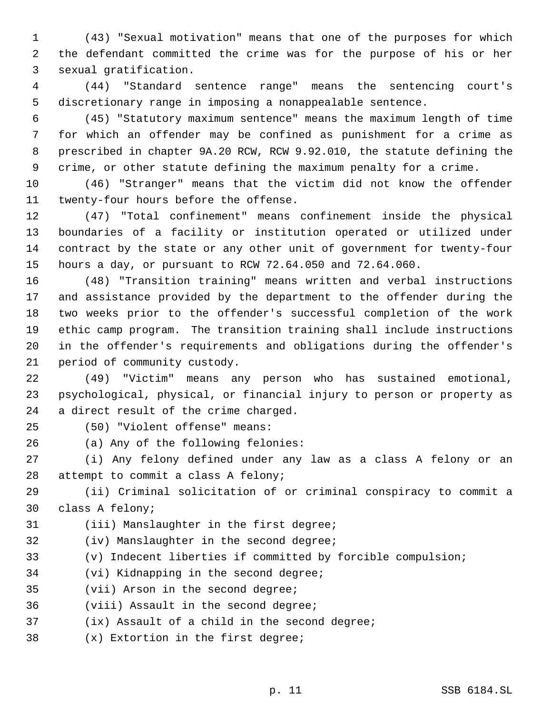(43) "Sexual motivation" means that one of the purposes for which the defendant committed the crime was for the purpose of his or her sexual gratification.

 (44) "Standard sentence range" means the sentencing court's discretionary range in imposing a nonappealable sentence.

 (45) "Statutory maximum sentence" means the maximum length of time for which an offender may be confined as punishment for a crime as prescribed in chapter 9A.20 RCW, RCW 9.92.010, the statute defining the crime, or other statute defining the maximum penalty for a crime.

 (46) "Stranger" means that the victim did not know the offender twenty-four hours before the offense.

 (47) "Total confinement" means confinement inside the physical boundaries of a facility or institution operated or utilized under contract by the state or any other unit of government for twenty-four hours a day, or pursuant to RCW 72.64.050 and 72.64.060.

 (48) "Transition training" means written and verbal instructions and assistance provided by the department to the offender during the two weeks prior to the offender's successful completion of the work ethic camp program. The transition training shall include instructions in the offender's requirements and obligations during the offender's period of community custody.

 (49) "Victim" means any person who has sustained emotional, psychological, physical, or financial injury to person or property as a direct result of the crime charged.

(50) "Violent offense" means:

(a) Any of the following felonies:

 (i) Any felony defined under any law as a class A felony or an attempt to commit a class A felony;

 (ii) Criminal solicitation of or criminal conspiracy to commit a class A felony;

(iii) Manslaughter in the first degree;

- (iv) Manslaughter in the second degree;
- (v) Indecent liberties if committed by forcible compulsion;
- (vi) Kidnapping in the second degree;
- (vii) Arson in the second degree;
- (viii) Assault in the second degree;
- (ix) Assault of a child in the second degree;
- (x) Extortion in the first degree;